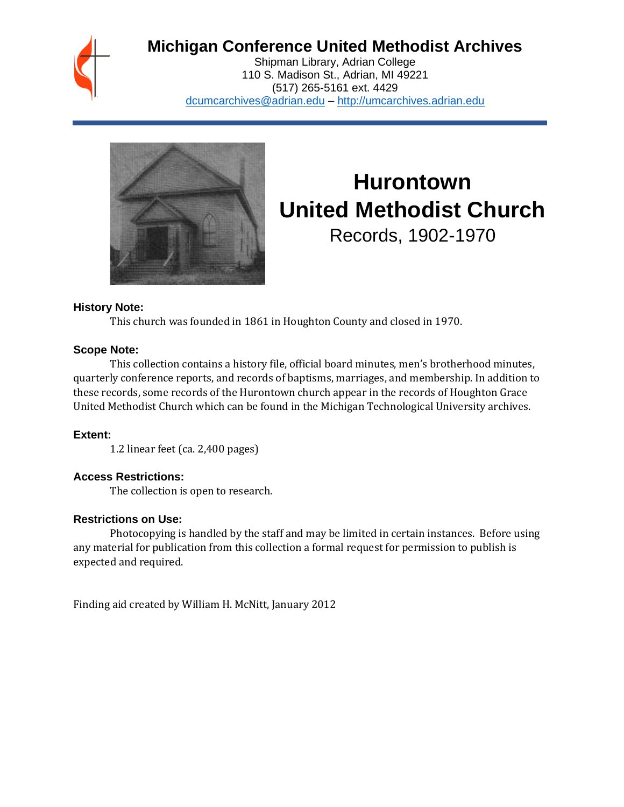## **Michigan Conference United Methodist Archives**

Shipman Library, Adrian College 110 S. Madison St., Adrian, MI 49221 (517) 265-5161 ext. 4429 [dcumcarchives@adrian.edu](mailto:dcumcarchives@adrian.edu) – [http://umcarchives.adrian.edu](http://umcarchives.adrian.edu/)



# **Hurontown United Methodist Church** Records, 1902-1970

**History Note:**

This church was founded in 1861 in Houghton County and closed in 1970.

#### **Scope Note:**

This collection contains a history file, official board minutes, men's brotherhood minutes, quarterly conference reports, and records of baptisms, marriages, and membership. In addition to these records, some records of the Hurontown church appear in the records of Houghton Grace United Methodist Church which can be found in the Michigan Technological University archives.

#### **Extent:**

1.2 linear feet (ca. 2,400 pages)

#### **Access Restrictions:**

The collection is open to research.

#### **Restrictions on Use:**

Photocopying is handled by the staff and may be limited in certain instances. Before using any material for publication from this collection a formal request for permission to publish is expected and required.

Finding aid created by William H. McNitt, January 2012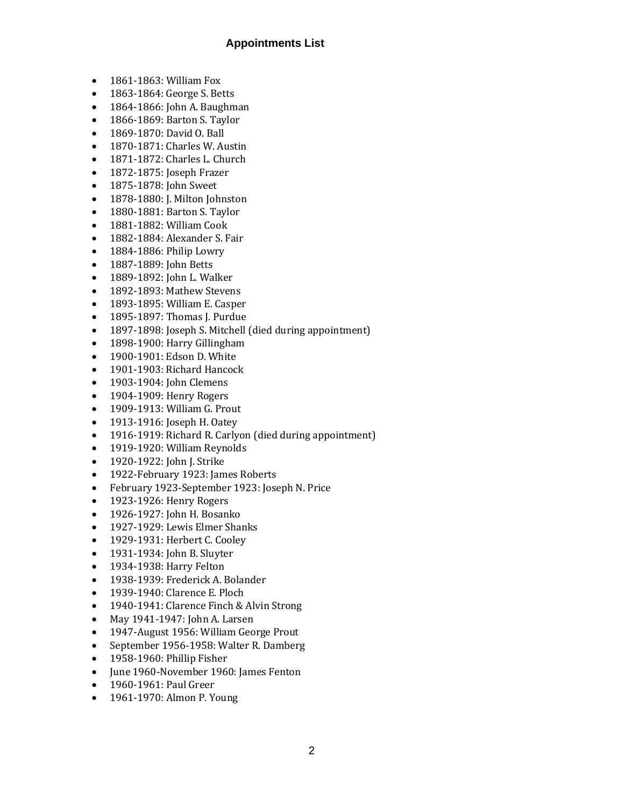#### **Appointments List**

- 1861-1863: William Fox
- 1863-1864: George S. Betts
- 1864-1866: John A. Baughman
- 1866-1869: Barton S. Taylor
- 1869-1870: David O. Ball
- 1870-1871: Charles W. Austin
- 1871-1872: Charles L. Church
- 1872-1875: Joseph Frazer
- 1875-1878: John Sweet
- 1878-1880: J. Milton Johnston
- 1880-1881: Barton S. Taylor
- 1881-1882: William Cook
- 1882-1884: Alexander S. Fair
- 1884-1886: Philip Lowry
- 1887-1889: John Betts
- 1889-1892: John L. Walker
- 1892-1893: Mathew Stevens
- 1893-1895: William E. Casper
- 1895-1897: Thomas J. Purdue
- 1897-1898: Joseph S. Mitchell (died during appointment)
- 1898-1900: Harry Gillingham
- 1900-1901: Edson D. White
- 1901-1903: Richard Hancock
- 1903-1904: John Clemens
- 1904-1909: Henry Rogers
- 1909-1913: William G. Prout
- 1913-1916: Joseph H. Oatev
- 1916-1919: Richard R. Carlyon (died during appointment)
- 1919-1920: William Reynolds
- 1920-1922: John J. Strike
- 1922-February 1923: James Roberts
- February 1923-September 1923: Joseph N. Price
- 1923-1926: Henry Rogers
- 1926-1927: John H. Bosanko
- 1927-1929: Lewis Elmer Shanks
- 1929-1931: Herbert C. Cooley
- 1931-1934: John B. Sluyter
- 1934-1938: Harry Felton
- 1938-1939: Frederick A. Bolander
- 1939-1940: Clarence E. Ploch
- 1940-1941: Clarence Finch & Alvin Strong
- May 1941-1947: John A. Larsen
- 1947-August 1956: William George Prout
- September 1956-1958: Walter R. Damberg
- 1958-1960: Phillip Fisher
- June 1960-November 1960: James Fenton
- 1960-1961: Paul Greer
- 1961-1970: Almon P. Young